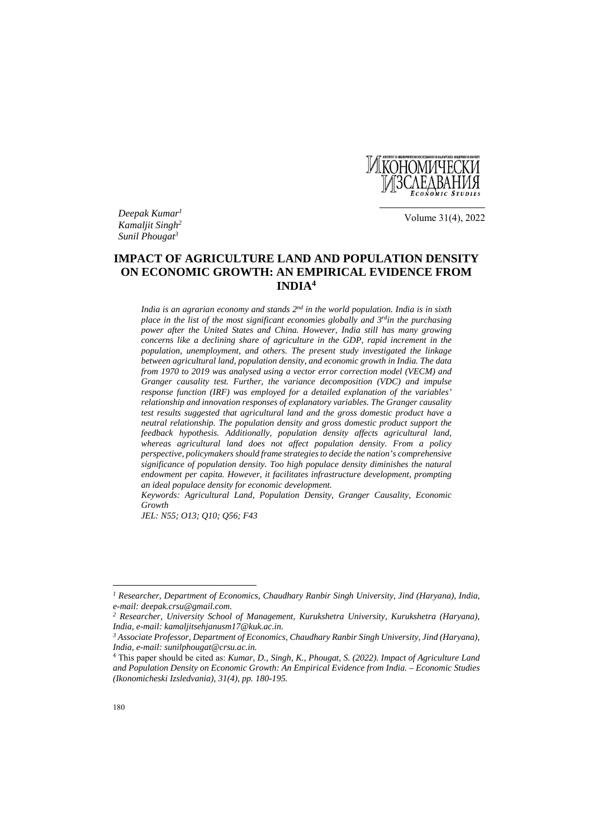

*Deepak Kumar1 Kamaljit Singh2 Sunil Phougat3*

Volume 31(4), 2022

# **IMPACT OF AGRICULTURE LAND AND POPULATION DENSITY ON ECONOMIC GROWTH: AN EMPIRICAL EVIDENCE FROM INDIA4**

*India is an agrarian economy and stands 2nd in the world population. India is in sixth place in the list of the most significant economies globally and 3<sup>rd</sup>in the purchasing power after the United States and China. However, India still has many growing concerns like a declining share of agriculture in the GDP, rapid increment in the population, unemployment, and others. The present study investigated the linkage between agricultural land, population density, and economic growth in India. The data from 1970 to 2019 was analysed using a vector error correction model (VECM) and Granger causality test. Further, the variance decomposition (VDC) and impulse response function (IRF) was employed for a detailed explanation of the variables' relationship and innovation responses of explanatory variables. The Granger causality test results suggested that agricultural land and the gross domestic product have a neutral relationship. The population density and gross domestic product support the feedback hypothesis. Additionally, population density affects agricultural land, whereas agricultural land does not affect population density. From a policy perspective, policymakers should frame strategies to decide the nation's comprehensive significance of population density. Too high populace density diminishes the natural endowment per capita. However, it facilitates infrastructure development, prompting an ideal populace density for economic development.* 

*Keywords: Agricultural Land, Population Density, Granger Causality, Economic Growth*

*JEL: N55; O13; Q10; Q56; F43*

 $\overline{\phantom{a}}$ 

*<sup>1</sup> Researcher, Department of Economics, Chaudhary Ranbir Singh University, Jind (Haryana), India, e-mail: deepak.crsu@gmail.com.* 

*<sup>2</sup> Researcher, University School of Management, Kurukshetra University, Kurukshetra (Haryana), India, e-mail: kamaljitsehjanusm17@kuk.ac.in.* 

*<sup>3</sup> Associate Professor, Department of Economics, Chaudhary Ranbir Singh University, Jind (Haryana), India, e-mail: sunilphougat@crsu.ac.in.* 

<sup>4</sup> This paper should be cited as: *Kumar, D., Singh, K., Phougat, S. (2022). Impact of Agriculture Land and Population Density on Economic Growth: An Empirical Evidence from India. – Economic Studies (Ikonomicheski Izsledvania), 31(4), pp. 180-195.*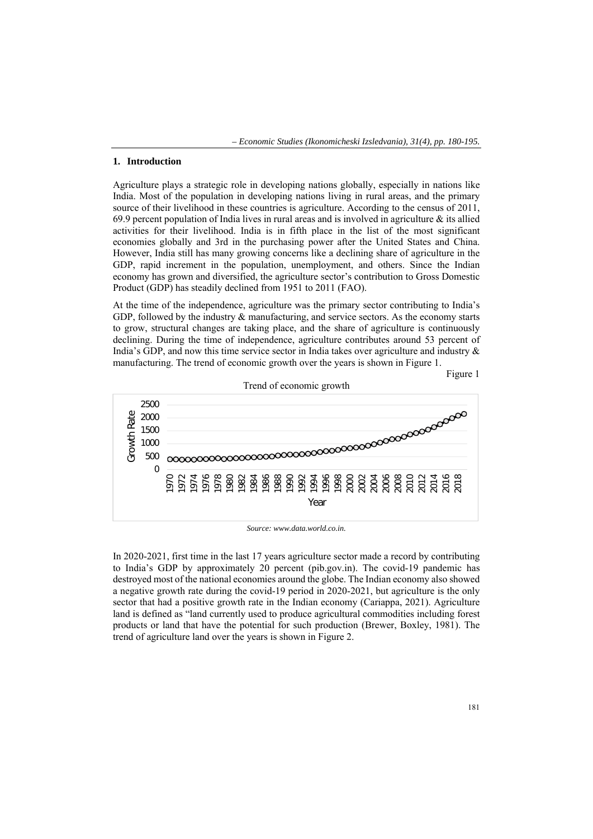#### **1. Introduction**

Agriculture plays a strategic role in developing nations globally, especially in nations like India. Most of the population in developing nations living in rural areas, and the primary source of their livelihood in these countries is agriculture. According to the census of 2011, 69.9 percent population of India lives in rural areas and is involved in agriculture  $\&$  its allied activities for their livelihood. India is in fifth place in the list of the most significant economies globally and 3rd in the purchasing power after the United States and China. However, India still has many growing concerns like a declining share of agriculture in the GDP, rapid increment in the population, unemployment, and others. Since the Indian economy has grown and diversified, the agriculture sector's contribution to Gross Domestic Product (GDP) has steadily declined from 1951 to 2011 (FAO).

At the time of the independence, agriculture was the primary sector contributing to India's GDP, followed by the industry & manufacturing, and service sectors. As the economy starts to grow, structural changes are taking place, and the share of agriculture is continuously declining. During the time of independence, agriculture contributes around 53 percent of India's GDP, and now this time service sector in India takes over agriculture and industry & manufacturing. The trend of economic growth over the years is shown in Figure 1.

Figure 1



Trend of economic growth

*Source: www.data.world.co.in.* 

In 2020-2021, first time in the last 17 years agriculture sector made a record by contributing to India's GDP by approximately 20 percent (pib.gov.in). The covid-19 pandemic has destroyed most of the national economies around the globe. The Indian economy also showed a negative growth rate during the covid-19 period in 2020-2021, but agriculture is the only sector that had a positive growth rate in the Indian economy (Cariappa, 2021). Agriculture land is defined as "land currently used to produce agricultural commodities including forest products or land that have the potential for such production (Brewer, Boxley, 1981). The trend of agriculture land over the years is shown in Figure 2.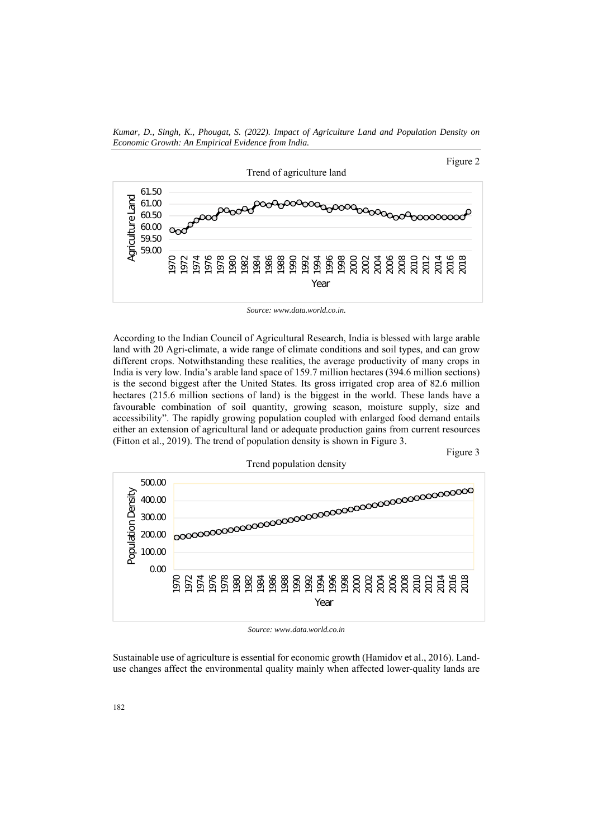*Kumar, D., Singh, K., Phougat, S. (2022). Impact of Agriculture Land and Population Density on Economic Growth: An Empirical Evidence from India.* 



*Source: www.data.world.co.in.* 

According to the Indian Council of Agricultural Research, India is blessed with large arable land with 20 Agri-climate, a wide range of climate conditions and soil types, and can grow different crops. Notwithstanding these realities, the average productivity of many crops in India is very low. India's arable land space of 159.7 million hectares (394.6 million sections) is the second biggest after the United States. Its gross irrigated crop area of 82.6 million hectares (215.6 million sections of land) is the biggest in the world. These lands have a favourable combination of soil quantity, growing season, moisture supply, size and accessibility". The rapidly growing population coupled with enlarged food demand entails either an extension of agricultural land or adequate production gains from current resources (Fitton et al., 2019). The trend of population density is shown in Figure 3.





*Source: www.data.world.co.in* 

Sustainable use of agriculture is essential for economic growth (Hamidov et al., 2016). Landuse changes affect the environmental quality mainly when affected lower-quality lands are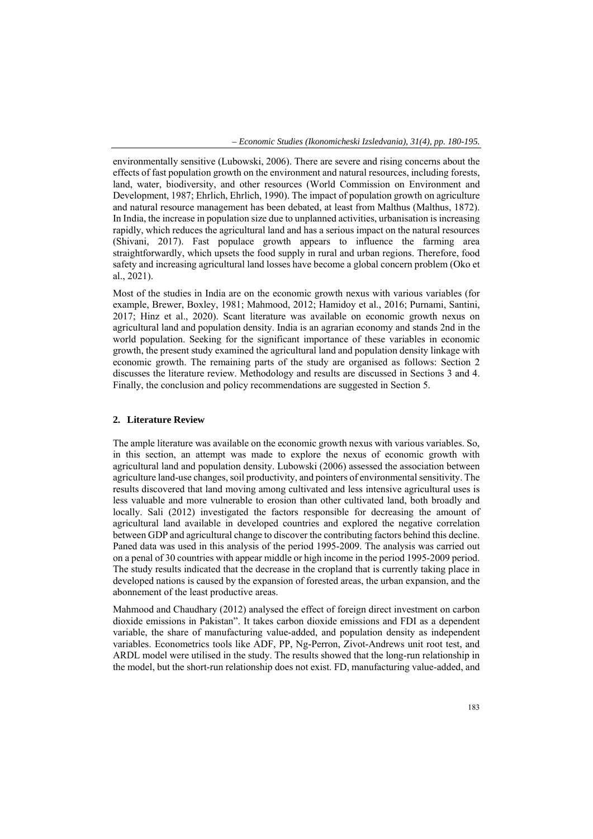environmentally sensitive (Lubowski, 2006). There are severe and rising concerns about the effects of fast population growth on the environment and natural resources, including forests, land, water, biodiversity, and other resources (World Commission on Environment and Development, 1987; Ehrlich, Ehrlich, 1990). The impact of population growth on agriculture and natural resource management has been debated, at least from Malthus (Malthus, 1872). In India, the increase in population size due to unplanned activities, urbanisation is increasing rapidly, which reduces the agricultural land and has a serious impact on the natural resources (Shivani, 2017). Fast populace growth appears to influence the farming area straightforwardly, which upsets the food supply in rural and urban regions. Therefore, food safety and increasing agricultural land losses have become a global concern problem (Oko et al., 2021).

Most of the studies in India are on the economic growth nexus with various variables (for example, Brewer, Boxley, 1981; Mahmood, 2012; Hamidoy et al., 2016; Purnami, Santini, 2017; Hinz et al., 2020). Scant literature was available on economic growth nexus on agricultural land and population density. India is an agrarian economy and stands 2nd in the world population. Seeking for the significant importance of these variables in economic growth, the present study examined the agricultural land and population density linkage with economic growth. The remaining parts of the study are organised as follows: Section 2 discusses the literature review. Methodology and results are discussed in Sections 3 and 4. Finally, the conclusion and policy recommendations are suggested in Section 5.

## **2. Literature Review**

The ample literature was available on the economic growth nexus with various variables. So, in this section, an attempt was made to explore the nexus of economic growth with agricultural land and population density. Lubowski (2006) assessed the association between agriculture land-use changes, soil productivity, and pointers of environmental sensitivity. The results discovered that land moving among cultivated and less intensive agricultural uses is less valuable and more vulnerable to erosion than other cultivated land, both broadly and locally. Sali (2012) investigated the factors responsible for decreasing the amount of agricultural land available in developed countries and explored the negative correlation between GDP and agricultural change to discover the contributing factors behind this decline. Paned data was used in this analysis of the period 1995-2009. The analysis was carried out on a penal of 30 countries with appear middle or high income in the period 1995-2009 period. The study results indicated that the decrease in the cropland that is currently taking place in developed nations is caused by the expansion of forested areas, the urban expansion, and the abonnement of the least productive areas.

Mahmood and Chaudhary (2012) analysed the effect of foreign direct investment on carbon dioxide emissions in Pakistan". It takes carbon dioxide emissions and FDI as a dependent variable, the share of manufacturing value-added, and population density as independent variables. Econometrics tools like ADF, PP, Ng-Perron, Zivot-Andrews unit root test, and ARDL model were utilised in the study. The results showed that the long-run relationship in the model, but the short-run relationship does not exist. FD, manufacturing value-added, and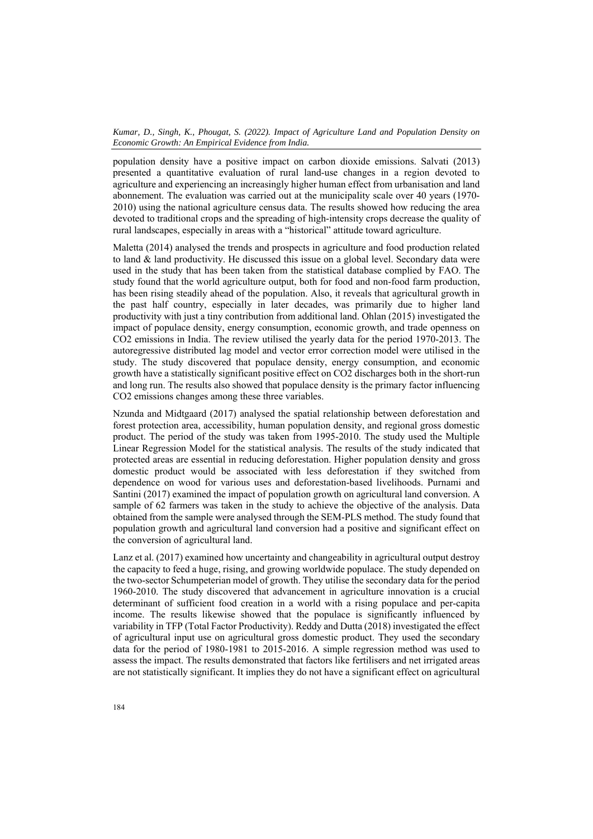population density have a positive impact on carbon dioxide emissions. Salvati (2013) presented a quantitative evaluation of rural land-use changes in a region devoted to agriculture and experiencing an increasingly higher human effect from urbanisation and land abonnement. The evaluation was carried out at the municipality scale over 40 years (1970- 2010) using the national agriculture census data. The results showed how reducing the area devoted to traditional crops and the spreading of high-intensity crops decrease the quality of rural landscapes, especially in areas with a "historical" attitude toward agriculture.

Maletta (2014) analysed the trends and prospects in agriculture and food production related to land & land productivity. He discussed this issue on a global level. Secondary data were used in the study that has been taken from the statistical database complied by FAO. The study found that the world agriculture output, both for food and non-food farm production, has been rising steadily ahead of the population. Also, it reveals that agricultural growth in the past half country, especially in later decades, was primarily due to higher land productivity with just a tiny contribution from additional land. Ohlan (2015) investigated the impact of populace density, energy consumption, economic growth, and trade openness on CO2 emissions in India. The review utilised the yearly data for the period 1970-2013. The autoregressive distributed lag model and vector error correction model were utilised in the study. The study discovered that populace density, energy consumption, and economic growth have a statistically significant positive effect on CO2 discharges both in the short-run and long run. The results also showed that populace density is the primary factor influencing CO2 emissions changes among these three variables.

Nzunda and Midtgaard (2017) analysed the spatial relationship between deforestation and forest protection area, accessibility, human population density, and regional gross domestic product. The period of the study was taken from 1995-2010. The study used the Multiple Linear Regression Model for the statistical analysis. The results of the study indicated that protected areas are essential in reducing deforestation. Higher population density and gross domestic product would be associated with less deforestation if they switched from dependence on wood for various uses and deforestation-based livelihoods. Purnami and Santini (2017) examined the impact of population growth on agricultural land conversion. A sample of 62 farmers was taken in the study to achieve the objective of the analysis. Data obtained from the sample were analysed through the SEM-PLS method. The study found that population growth and agricultural land conversion had a positive and significant effect on the conversion of agricultural land.

Lanz et al. (2017) examined how uncertainty and changeability in agricultural output destroy the capacity to feed a huge, rising, and growing worldwide populace. The study depended on the two-sector Schumpeterian model of growth. They utilise the secondary data for the period 1960-2010. The study discovered that advancement in agriculture innovation is a crucial determinant of sufficient food creation in a world with a rising populace and per-capita income. The results likewise showed that the populace is significantly influenced by variability in TFP (Total Factor Productivity). Reddy and Dutta (2018) investigated the effect of agricultural input use on agricultural gross domestic product. They used the secondary data for the period of 1980-1981 to 2015-2016. A simple regression method was used to assess the impact. The results demonstrated that factors like fertilisers and net irrigated areas are not statistically significant. It implies they do not have a significant effect on agricultural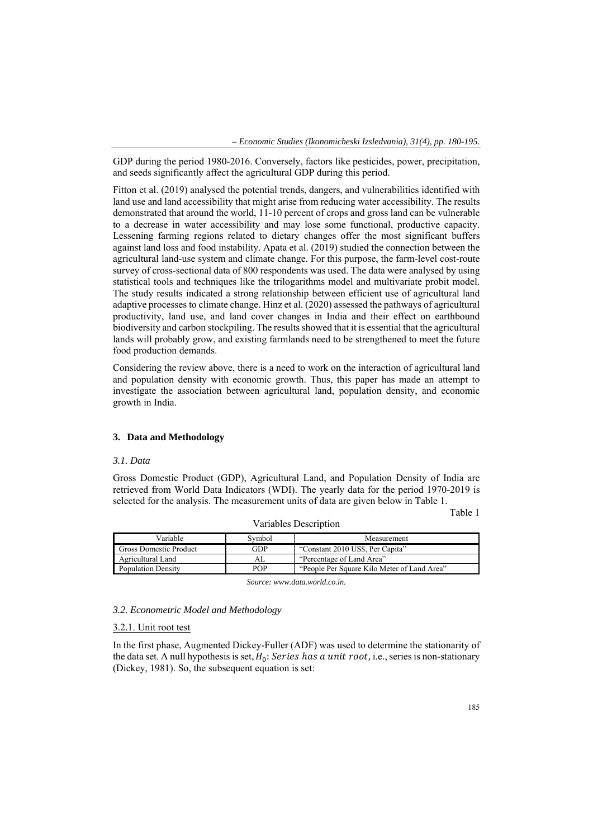GDP during the period 1980-2016. Conversely, factors like pesticides, power, precipitation, and seeds significantly affect the agricultural GDP during this period.

Fitton et al. (2019) analysed the potential trends, dangers, and vulnerabilities identified with land use and land accessibility that might arise from reducing water accessibility. The results demonstrated that around the world, 11-10 percent of crops and gross land can be vulnerable to a decrease in water accessibility and may lose some functional, productive capacity. Lessening farming regions related to dietary changes offer the most significant buffers against land loss and food instability. Apata et al. (2019) studied the connection between the agricultural land-use system and climate change. For this purpose, the farm-level cost-route survey of cross-sectional data of 800 respondents was used. The data were analysed by using statistical tools and techniques like the trilogarithms model and multivariate probit model. The study results indicated a strong relationship between efficient use of agricultural land adaptive processes to climate change. Hinz et al. (2020) assessed the pathways of agricultural productivity, land use, and land cover changes in India and their effect on earthbound biodiversity and carbon stockpiling. The results showed that it is essential that the agricultural lands will probably grow, and existing farmlands need to be strengthened to meet the future food production demands.

Considering the review above, there is a need to work on the interaction of agricultural land and population density with economic growth. Thus, this paper has made an attempt to investigate the association between agricultural land, population density, and economic growth in India.

#### **3. Data and Methodology**

#### *3.1. Data*

Gross Domestic Product (GDP), Agricultural Land, and Population Density of India are retrieved from World Data Indicators (WDI). The yearly data for the period 1970-2019 is selected for the analysis. The measurement units of data are given below in Table 1.

Table 1

| Variable                  | Symbol | Measurement                                 |
|---------------------------|--------|---------------------------------------------|
| Gross Domestic Product    | GDP    | "Constant 2010 US\$, Per Capita"            |
| Agricultural Land         |        | "Percentage of Land Area"                   |
| <b>Population Density</b> | P∩P    | "People Per Square Kilo Meter of Land Area" |

Variables Description

*Source: www.data.world.co.in.* 

## *3.2. Econometric Model and Methodology*

## 3.2.1. Unit root test

In the first phase, Augmented Dickey-Fuller (ADF) was used to determine the stationarity of the data set. A null hypothesis is set,  $H_0$ : Series has a unit root, i.e., series is non-stationary (Dickey, 1981). So, the subsequent equation is set: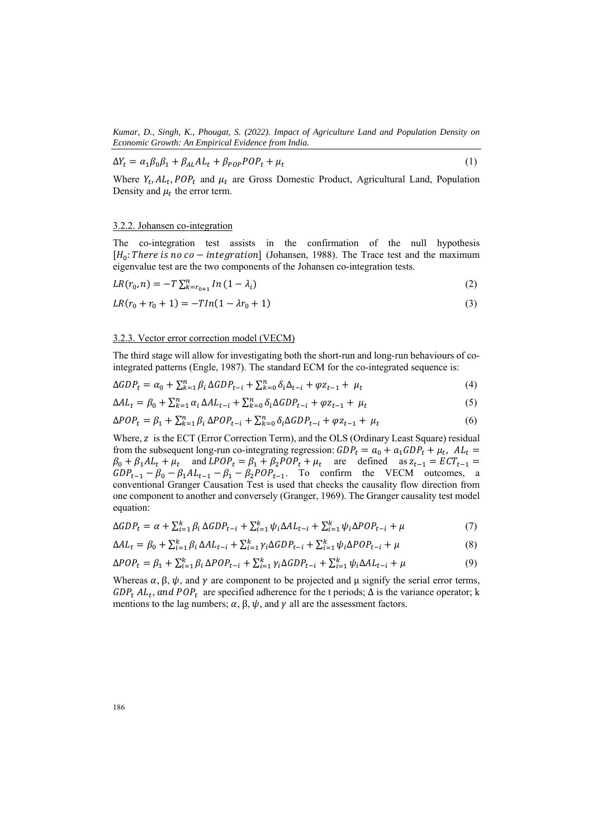$$
\Delta Y_t = \alpha_1 \beta_0 \beta_1 + \beta_{AL} A L_t + \beta_{POP} P O P_t + \mu_t \tag{1}
$$

Where  $Y_t$ ,  $AL_t$ ,  $POP_t$  and  $\mu_t$  are Gross Domestic Product, Agricultural Land, Population Density and  $\mu_t$  the error term.

### 3.2.2. Johansen co-integration

The co-integration test assists in the confirmation of the null hypothesis  $[H_0: There is no co-integration]$  (Johansen, 1988). The Trace test and the maximum eigenvalue test are the two components of the Johansen co-integration tests.

$$
LR(r_0, n) = -T \sum_{k=r_{0+1}}^{n} ln(1 - \lambda_i)
$$
\n(2)

$$
LR(r_0 + r_0 + 1) = -T ln(1 - \lambda r_0 + 1) \tag{3}
$$

#### 3.2.3. Vector error correction model (VECM)

The third stage will allow for investigating both the short-run and long-run behaviours of cointegrated patterns (Engle, 1987). The standard ECM for the co-integrated sequence is:

$$
\Delta GDP_t = \alpha_0 + \sum_{k=1}^n \beta_i \Delta GDP_{t-i} + \sum_{k=0}^n \delta_i \Delta_{t-i} + \varphi z_{t-1} + \mu_t \tag{4}
$$

$$
\Delta A L_t = \beta_0 + \sum_{k=1}^n \alpha_i \, \Delta A L_{t-i} + \sum_{k=0}^n \delta_i \Delta GDP_{t-i} + \varphi z_{t-1} + \mu_t \tag{5}
$$

$$
\Delta POP_t = \beta_1 + \sum_{k=1}^n \beta_i \Delta POP_{t-i} + \sum_{k=0}^n \delta_i \Delta GDP_{t-i} + \varphi z_{t-1} + \mu_t \tag{6}
$$

Where, z is the ECT (Error Correction Term), and the OLS (Ordinary Least Square) residual from the subsequent long-run co-integrating regression:  $GDP_t = a_0 + a_1 GDP_t + \mu_t$ ,  $AL_t =$  $\beta_0 + \beta_1 A L_t + \mu_t$  and  $LPOP_t = \beta_1 + \beta_2 POP_t + \mu_t$  are defined as  $z_{t-1} = ECT_{t-1}$  $GDP_{t-1} - \beta_0 - \beta_1 A L_{t-1} - \beta_1 - \beta_2 POP_{t-1}$ . To confirm the VECM outcomes, a conventional Granger Causation Test is used that checks the causality flow direction from one component to another and conversely (Granger, 1969). The Granger causality test model equation:

$$
\Delta GDP_t = \alpha + \sum_{i=1}^k \beta_i \Delta GDP_{t-i} + \sum_{i=1}^k \psi_i \Delta AL_{t-i} + \sum_{i=1}^k \psi_i \Delta POP_{t-i} + \mu \tag{7}
$$

$$
\Delta A L_t = \beta_0 + \sum_{i=1}^k \beta_i \, \Delta A L_{t-i} + \sum_{i=1}^k \gamma_i \Delta GDP_{t-i} + \sum_{i=1}^k \psi_i \Delta POP_{t-i} + \mu \tag{8}
$$

$$
\Delta POP_t = \beta_1 + \sum_{i=1}^k \beta_i \,\Delta POP_{t-i} + \sum_{i=1}^k \gamma_i \Delta GDP_{t-i} + \sum_{i=1}^k \psi_i \Delta AL_{t-i} + \mu \tag{9}
$$

Whereas  $\alpha$ ,  $\beta$ ,  $\psi$ , and  $\gamma$  are component to be projected and  $\mu$  signify the serial error terms,  $GDP_t AL_t$ , and  $POP_t$  are specified adherence for the t periods;  $\Delta$  is the variance operator; k mentions to the lag numbers;  $\alpha$ ,  $\beta$ ,  $\psi$ , and  $\gamma$  all are the assessment factors.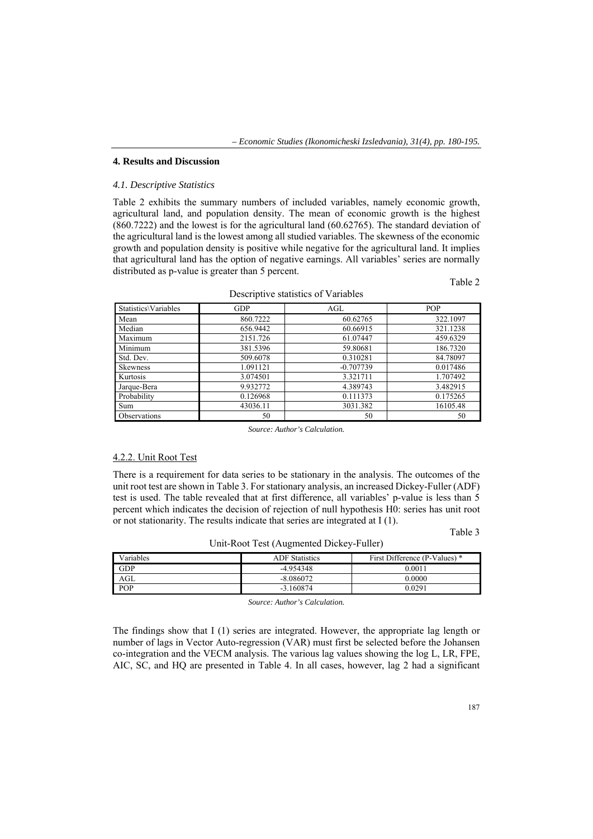## **4. Results and Discussion**

#### *4.1. Descriptive Statistics*

Table 2 exhibits the summary numbers of included variables, namely economic growth, agricultural land, and population density. The mean of economic growth is the highest (860.7222) and the lowest is for the agricultural land (60.62765). The standard deviation of the agricultural land is the lowest among all studied variables. The skewness of the economic growth and population density is positive while negative for the agricultural land. It implies that agricultural land has the option of negative earnings. All variables' series are normally distributed as p-value is greater than 5 percent.

| Statistics\Variables | <b>GDP</b> | AGL         | <b>POP</b> |
|----------------------|------------|-------------|------------|
| Mean                 | 860.7222   | 60.62765    | 322.1097   |
| Median               | 656.9442   | 60.66915    | 321.1238   |
| Maximum              | 2151.726   | 61.07447    | 459.6329   |
| Minimum              | 381.5396   | 59.80681    | 186.7320   |
| Std. Dev.            | 509.6078   | 0.310281    | 84.78097   |
| <b>Skewness</b>      | 1.091121   | $-0.707739$ | 0.017486   |
| Kurtosis             | 3.074501   | 3.321711    | 1.707492   |
| Jarque-Bera          | 9.932772   | 4.389743    | 3.482915   |
| Probability          | 0.126968   | 0.111373    | 0.175265   |
| Sum                  | 43036.11   | 3031.382    | 16105.48   |
| <b>Observations</b>  | 50         | 50          | 50         |

Descriptive statistics of Variables

*Source: Author's Calculation.* 

## 4.2.2. Unit Root Test

There is a requirement for data series to be stationary in the analysis. The outcomes of the unit root test are shown in Table 3. For stationary analysis, an increased Dickey-Fuller (ADF) test is used. The table revealed that at first difference, all variables' p-value is less than 5 percent which indicates the decision of rejection of null hypothesis H0: series has unit root or not stationarity. The results indicate that series are integrated at I (1).

Table 3

Table 2

| Variables  | <b>ADF</b> Statistics | First Difference (P-Values) * |
|------------|-----------------------|-------------------------------|
| <b>GDP</b> | $-4.954348$           | 0.001                         |
| AGL        | $-8.086072$           | 0.0000                        |
| POP        | $-3.160874$           | 0.0291                        |

Unit-Root Test (Augmented Dickey-Fuller)

*Source: Author's Calculation.* 

The findings show that I (1) series are integrated. However, the appropriate lag length or number of lags in Vector Auto-regression (VAR) must first be selected before the Johansen co-integration and the VECM analysis. The various lag values showing the log L, LR, FPE, AIC, SC, and HQ are presented in Table 4. In all cases, however, lag 2 had a significant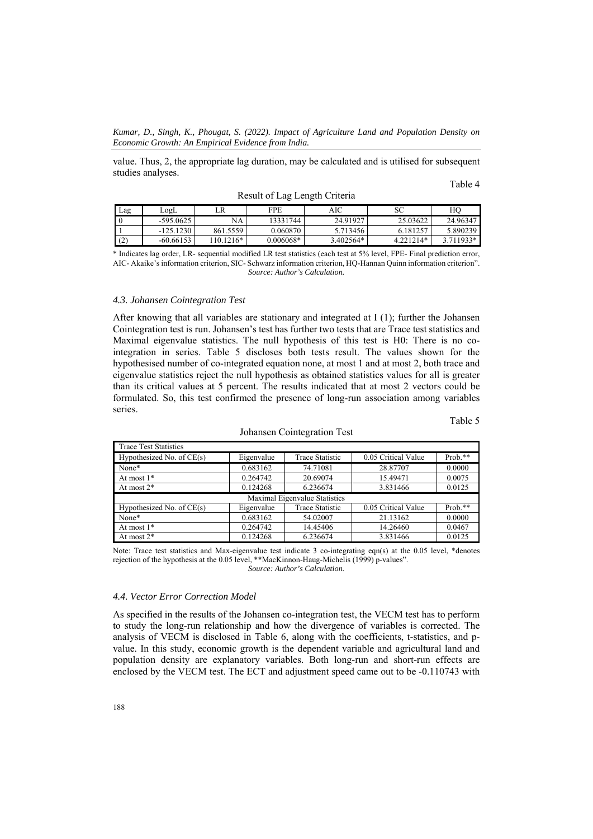value. Thus, 2, the appropriate lag duration, may be calculated and is utilised for subsequent studies analyses.

#### Table 4

Table 5

|     |             |             | _           | $-$       |           |           |
|-----|-------------|-------------|-------------|-----------|-----------|-----------|
| Lag | LogL        | LR          | FPE         | AIC       | SC        | HО        |
|     | $-595.0625$ | NA          | 13331744    | 24.91927  | 25.03622  | 24.96347  |
|     | $-125.1230$ | 861.5559    | 0.060870    | 5.713456  | 6.181257  | 5.890239  |
| (2) | $-60.66153$ | $110.1216*$ | $0.006068*$ | 3.402564* | 4 221214* | 3.711933* |

Result of Lag Length Criteria

\* Indicates lag order, LR- sequential modified LR test statistics (each test at 5% level, FPE- Final prediction error, AIC- Akaike's information criterion, SIC- Schwarz information criterion, HQ-Hannan Quinn information criterion". *Source: Author's Calculation.* 

## *4.3. Johansen Cointegration Test*

After knowing that all variables are stationary and integrated at I (1); further the Johansen Cointegration test is run. Johansen's test has further two tests that are Trace test statistics and Maximal eigenvalue statistics. The null hypothesis of this test is H0: There is no cointegration in series. Table 5 discloses both tests result. The values shown for the hypothesised number of co-integrated equation none, at most 1 and at most 2, both trace and eigenvalue statistics reject the null hypothesis as obtained statistics values for all is greater than its critical values at 5 percent. The results indicated that at most 2 vectors could be formulated. So, this test confirmed the presence of long-run association among variables series.

| <b>Trace Test Statistics</b> |            |                               |                     |           |
|------------------------------|------------|-------------------------------|---------------------|-----------|
| Hypothesized No. of $CE(s)$  | Eigenvalue | <b>Trace Statistic</b>        | 0.05 Critical Value | Prob.**   |
| None*                        | 0.683162   | 74.71081                      | 28.87707            | 0.0000    |
| At most $1*$                 | 0.264742   | 20.69074                      | 15.49471            | 0.0075    |
| At most $2^*$                | 0.124268   | 6.236674                      | 3.831466            | 0.0125    |
|                              |            |                               |                     |           |
|                              |            | Maximal Eigenvalue Statistics |                     |           |
| Hypothesized No. of $CE(s)$  | Eigenvalue | <b>Trace Statistic</b>        | 0.05 Critical Value | $Prob.**$ |
| None*                        | 0.683162   | 54.02007                      | 21.13162            | 0.0000    |
| At most $1*$                 | 0.264742   | 14.45406                      | 14.26460            | 0.0467    |

Johansen Cointegration Test

Note: Trace test statistics and Max-eigenvalue test indicate 3 co-integrating eqn(s) at the 0.05 level, \*denotes rejection of the hypothesis at the 0.05 level, \*\*MacKinnon-Haug-Michelis (1999) p-values". *Source: Author's Calculation.* 

## *4.4. Vector Error Correction Model*

As specified in the results of the Johansen co-integration test, the VECM test has to perform to study the long-run relationship and how the divergence of variables is corrected. The analysis of VECM is disclosed in Table 6, along with the coefficients, t-statistics, and pvalue. In this study, economic growth is the dependent variable and agricultural land and population density are explanatory variables. Both long-run and short-run effects are enclosed by the VECM test. The ECT and adjustment speed came out to be -0.110743 with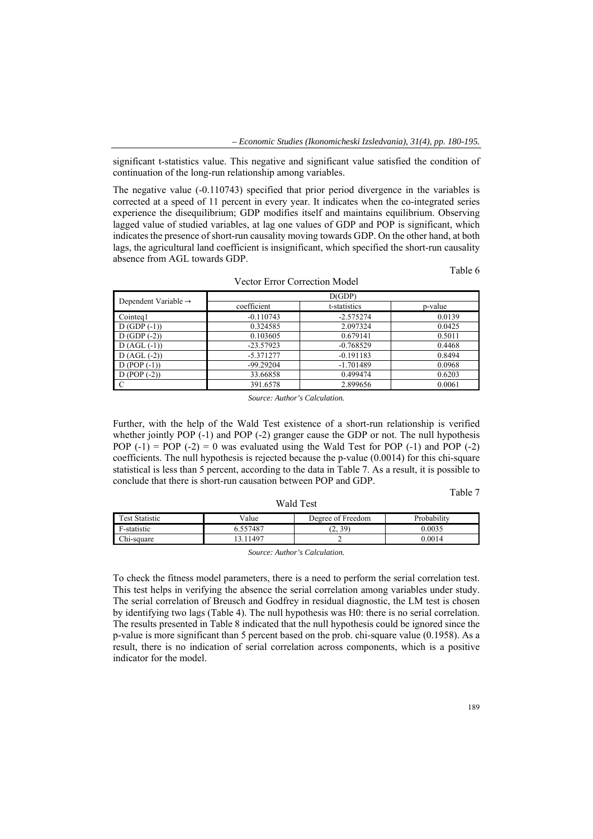significant t-statistics value. This negative and significant value satisfied the condition of continuation of the long-run relationship among variables.

The negative value (-0.110743) specified that prior period divergence in the variables is corrected at a speed of 11 percent in every year. It indicates when the co-integrated series experience the disequilibrium; GDP modifies itself and maintains equilibrium. Observing lagged value of studied variables, at lag one values of GDP and POP is significant, which indicates the presence of short-run causality moving towards GDP. On the other hand, at both lags, the agricultural land coefficient is insignificant, which specified the short-run causality absence from AGL towards GDP.

Table 6

| Dependent Variable $\rightarrow$ | D(GDP)      |              |         |  |  |
|----------------------------------|-------------|--------------|---------|--|--|
|                                  | coefficient | t-statistics | p-value |  |  |
| Cointeg1                         | $-0.110743$ | $-2.575274$  | 0.0139  |  |  |
| $D(GDP(-1))$                     | 0.324585    | 2.097324     | 0.0425  |  |  |
| $D(GDP(-2))$                     | 0.103605    | 0.679141     | 0.5011  |  |  |
| $D (AGL (-1))$                   | $-23.57923$ | $-0.768529$  | 0.4468  |  |  |
| $D (AGL (-2))$                   | $-5.371277$ | $-0.191183$  | 0.8494  |  |  |
| $D (POP (-1))$                   | $-99.29204$ | $-1.701489$  | 0.0968  |  |  |
| $D (POP (-2))$                   | 33.66858    | 0.499474     | 0.6203  |  |  |
| C                                | 391.6578    | 2.899656     | 0.0061  |  |  |

Vector Error Correction Model

*Source: Author's Calculation.* 

Further, with the help of the Wald Test existence of a short-run relationship is verified whether jointly POP (-1) and POP (-2) granger cause the GDP or not. The null hypothesis POP  $(-1)$  = POP  $(-2)$  = 0 was evaluated using the Wald Test for POP  $(-1)$  and POP  $(-2)$ coefficients. The null hypothesis is rejected because the p-value (0.0014) for this chi-square statistical is less than 5 percent, according to the data in Table 7. As a result, it is possible to conclude that there is short-run causation between POP and GDP.

#### Table 7

| $\mathbf{r}$<br>l'est Statistic | √alue    | Degree of Freedom | robability |
|---------------------------------|----------|-------------------|------------|
| -statistic                      | 6.557487 | (2, 39)           | 0.0035     |
| Chi-square                      | 11497    | -                 | 0.0014     |

Wald Test

*Source: Author's Calculation.* 

To check the fitness model parameters, there is a need to perform the serial correlation test. This test helps in verifying the absence the serial correlation among variables under study. The serial correlation of Breusch and Godfrey in residual diagnostic, the LM test is chosen by identifying two lags (Table 4). The null hypothesis was H0: there is no serial correlation. The results presented in Table 8 indicated that the null hypothesis could be ignored since the p-value is more significant than 5 percent based on the prob. chi-square value (0.1958). As a result, there is no indication of serial correlation across components, which is a positive indicator for the model.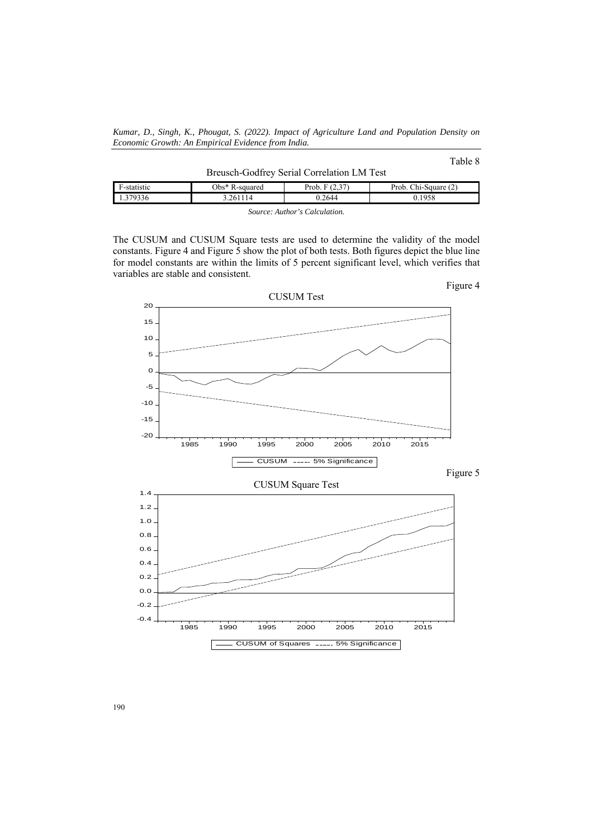*Kumar, D., Singh, K., Phougat, S. (2022). Impact of Agriculture Land and Population Density on Economic Growth: An Empirical Evidence from India.* 

## Table 8

|                                          | Breusch-Godfrey Serial Correlation LM Test |                   |                 |                      |  |  |  |
|------------------------------------------|--------------------------------------------|-------------------|-----------------|----------------------|--|--|--|
|                                          | F-statistic                                | $Obs^*$ R-squared | Prob. $F(2.37)$ | Prob. Chi-Square (2) |  |  |  |
| 1.379336<br>0.2644<br>0.1958<br>3.261114 |                                            |                   |                 |                      |  |  |  |

*Source: Author's Calculation.* 

The CUSUM and CUSUM Square tests are used to determine the validity of the model constants. Figure 4 and Figure 5 show the plot of both tests. Both figures depict the blue line for model constants are within the limits of 5 percent significant level, which verifies that variables are stable and consistent.

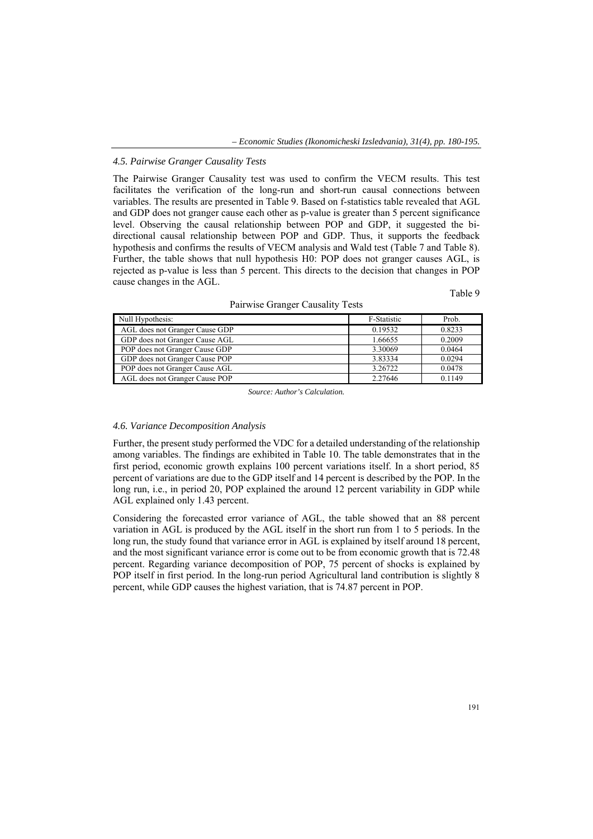#### *4.5. Pairwise Granger Causality Tests*

The Pairwise Granger Causality test was used to confirm the VECM results. This test facilitates the verification of the long-run and short-run causal connections between variables. The results are presented in Table 9. Based on f-statistics table revealed that AGL and GDP does not granger cause each other as p-value is greater than 5 percent significance level. Observing the causal relationship between POP and GDP, it suggested the bidirectional causal relationship between POP and GDP. Thus, it supports the feedback hypothesis and confirms the results of VECM analysis and Wald test (Table 7 and Table 8). Further, the table shows that null hypothesis H0: POP does not granger causes AGL, is rejected as p-value is less than 5 percent. This directs to the decision that changes in POP cause changes in the AGL.

Table 9

| Null Hypothesis:               | F-Statistic | Prob.  |
|--------------------------------|-------------|--------|
| AGL does not Granger Cause GDP | 0.19532     | 0.8233 |
| GDP does not Granger Cause AGL | 1.66655     | 0.2009 |
| POP does not Granger Cause GDP | 3.30069     | 0.0464 |
| GDP does not Granger Cause POP | 3.83334     | 0.0294 |
| POP does not Granger Cause AGL | 3.26722     | 0.0478 |
| AGL does not Granger Cause POP | 2.27646     | 0.1149 |

Pairwise Granger Causality Tests

*Source: Author's Calculation.* 

### *4.6. Variance Decomposition Analysis*

Further, the present study performed the VDC for a detailed understanding of the relationship among variables. The findings are exhibited in Table 10. The table demonstrates that in the first period, economic growth explains 100 percent variations itself. In a short period, 85 percent of variations are due to the GDP itself and 14 percent is described by the POP. In the long run, i.e., in period 20, POP explained the around 12 percent variability in GDP while AGL explained only 1.43 percent.

Considering the forecasted error variance of AGL, the table showed that an 88 percent variation in AGL is produced by the AGL itself in the short run from 1 to 5 periods. In the long run, the study found that variance error in AGL is explained by itself around 18 percent, and the most significant variance error is come out to be from economic growth that is 72.48 percent. Regarding variance decomposition of POP, 75 percent of shocks is explained by POP itself in first period. In the long-run period Agricultural land contribution is slightly 8 percent, while GDP causes the highest variation, that is 74.87 percent in POP.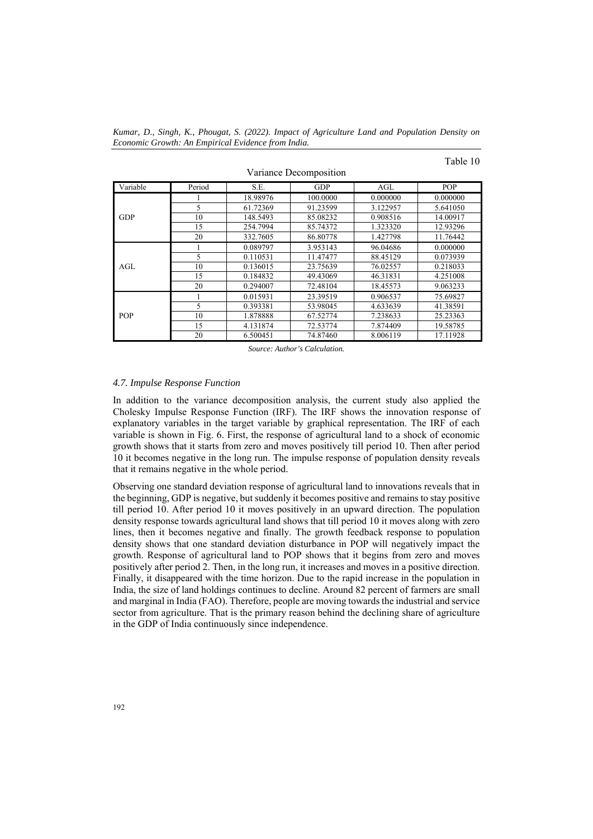*Kumar, D., Singh, K., Phougat, S. (2022). Impact of Agriculture Land and Population Density on Economic Growth: An Empirical Evidence from India.* 

|  |  | able |  |
|--|--|------|--|
|--|--|------|--|

|            |        |          | л.         |          |            |
|------------|--------|----------|------------|----------|------------|
| Variable   | Period | S.E.     | <b>GDP</b> | AGL      | <b>POP</b> |
|            |        | 18.98976 | 100.0000   | 0.000000 | 0.000000   |
|            | 5      | 61.72369 | 91.23599   | 3.122957 | 5.641050   |
| <b>GDP</b> | 10     | 148.5493 | 85.08232   | 0.908516 | 14.00917   |
|            | 15     | 254.7994 | 85.74372   | 1.323320 | 12.93296   |
|            | 20     | 332.7605 | 86.80778   | 1.427798 | 11.76442   |
|            |        | 0.089797 | 3.953143   | 96.04686 | 0.000000   |
|            | 5      | 0.110531 | 11.47477   | 88.45129 | 0.073939   |
| AGL        | 10     | 0.136015 | 23.75639   | 76.02557 | 0.218033   |
|            | 15     | 0.184832 | 49.43069   | 46.31831 | 4.251008   |
|            | 20     | 0.294007 | 72.48104   | 18.45573 | 9.063233   |
|            |        | 0.015931 | 23.39519   | 0.906537 | 75.69827   |
|            | 5      | 0.393381 | 53.98045   | 4.633639 | 41.38591   |
| <b>POP</b> | 10     | 1.878888 | 67.52774   | 7.238633 | 25.23363   |
|            | 15     | 4.131874 | 72.53774   | 7.874409 | 19.58785   |
|            | 20     | 6.500451 | 74.87460   | 8.006119 | 17.11928   |

Variance Decomposition

*Source: Author's Calculation.* 

#### *4.7. Impulse Response Function*

In addition to the variance decomposition analysis, the current study also applied the Cholesky Impulse Response Function (IRF). The IRF shows the innovation response of explanatory variables in the target variable by graphical representation. The IRF of each variable is shown in Fig. 6. First, the response of agricultural land to a shock of economic growth shows that it starts from zero and moves positively till period 10. Then after period 10 it becomes negative in the long run. The impulse response of population density reveals that it remains negative in the whole period.

Observing one standard deviation response of agricultural land to innovations reveals that in the beginning, GDP is negative, but suddenly it becomes positive and remains to stay positive till period 10. After period 10 it moves positively in an upward direction. The population density response towards agricultural land shows that till period 10 it moves along with zero lines, then it becomes negative and finally. The growth feedback response to population density shows that one standard deviation disturbance in POP will negatively impact the growth. Response of agricultural land to POP shows that it begins from zero and moves positively after period 2. Then, in the long run, it increases and moves in a positive direction. Finally, it disappeared with the time horizon. Due to the rapid increase in the population in India, the size of land holdings continues to decline. Around 82 percent of farmers are small and marginal in India (FAO). Therefore, people are moving towards the industrial and service sector from agriculture. That is the primary reason behind the declining share of agriculture in the GDP of India continuously since independence.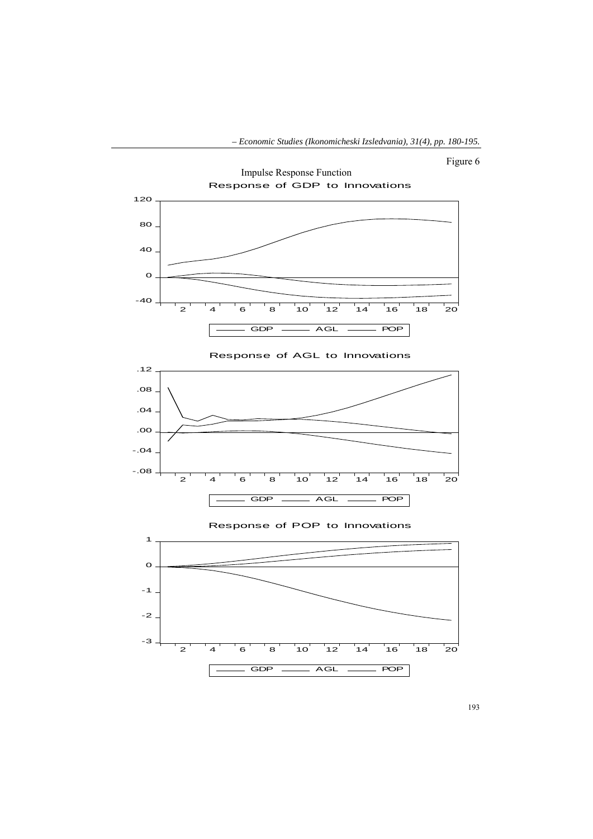





Response of POP to Innovations

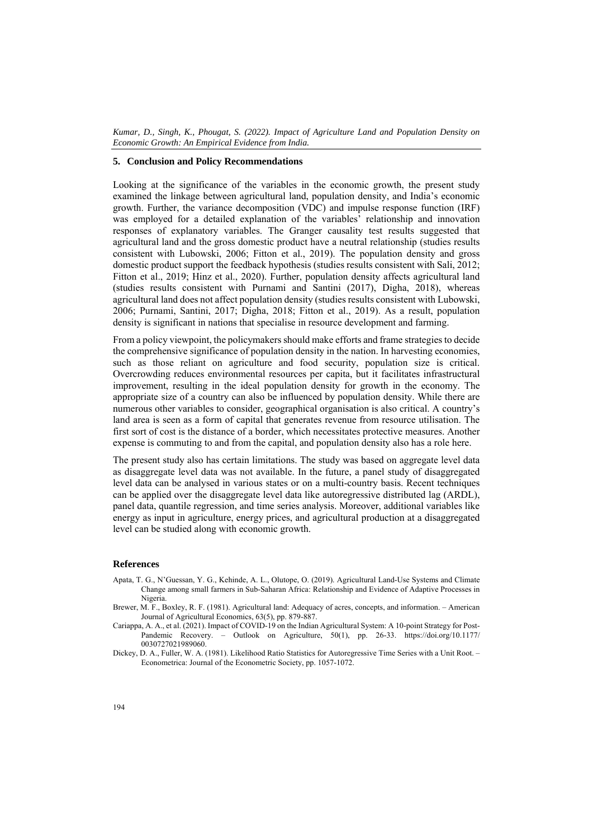#### **5. Conclusion and Policy Recommendations**

Looking at the significance of the variables in the economic growth, the present study examined the linkage between agricultural land, population density, and India's economic growth. Further, the variance decomposition (VDC) and impulse response function (IRF) was employed for a detailed explanation of the variables' relationship and innovation responses of explanatory variables. The Granger causality test results suggested that agricultural land and the gross domestic product have a neutral relationship (studies results consistent with Lubowski, 2006; Fitton et al., 2019). The population density and gross domestic product support the feedback hypothesis (studies results consistent with Sali, 2012; Fitton et al., 2019; Hinz et al., 2020). Further, population density affects agricultural land (studies results consistent with Purnami and Santini (2017), Digha, 2018), whereas agricultural land does not affect population density (studies results consistent with Lubowski, 2006; Purnami, Santini, 2017; Digha, 2018; Fitton et al., 2019). As a result, population density is significant in nations that specialise in resource development and farming.

From a policy viewpoint, the policymakers should make efforts and frame strategies to decide the comprehensive significance of population density in the nation. In harvesting economies, such as those reliant on agriculture and food security, population size is critical. Overcrowding reduces environmental resources per capita, but it facilitates infrastructural improvement, resulting in the ideal population density for growth in the economy. The appropriate size of a country can also be influenced by population density. While there are numerous other variables to consider, geographical organisation is also critical. A country's land area is seen as a form of capital that generates revenue from resource utilisation. The first sort of cost is the distance of a border, which necessitates protective measures. Another expense is commuting to and from the capital, and population density also has a role here.

The present study also has certain limitations. The study was based on aggregate level data as disaggregate level data was not available. In the future, a panel study of disaggregated level data can be analysed in various states or on a multi-country basis. Recent techniques can be applied over the disaggregate level data like autoregressive distributed lag (ARDL), panel data, quantile regression, and time series analysis. Moreover, additional variables like energy as input in agriculture, energy prices, and agricultural production at a disaggregated level can be studied along with economic growth.

#### **References**

- Apata, T. G., N'Guessan, Y. G., Kehinde, A. L., Olutope, O. (2019). Agricultural Land-Use Systems and Climate Change among small farmers in Sub-Saharan Africa: Relationship and Evidence of Adaptive Processes in Nigeria.
- Brewer, M. F., Boxley, R. F. (1981). Agricultural land: Adequacy of acres, concepts, and information. American Journal of Agricultural Economics, 63(5), pp. 879-887.
- Cariappa, A. A., et al. (2021). Impact of COVID-19 on the Indian Agricultural System: A 10-point Strategy for Post-Pandemic Recovery. – Outlook on Agriculture, 50(1), pp. 26-33. https://doi.org/10.1177/ 0030727021989060.
- Dickey, D. A., Fuller, W. A. (1981). Likelihood Ratio Statistics for Autoregressive Time Series with a Unit Root. Econometrica: Journal of the Econometric Society, рр. 1057-1072.